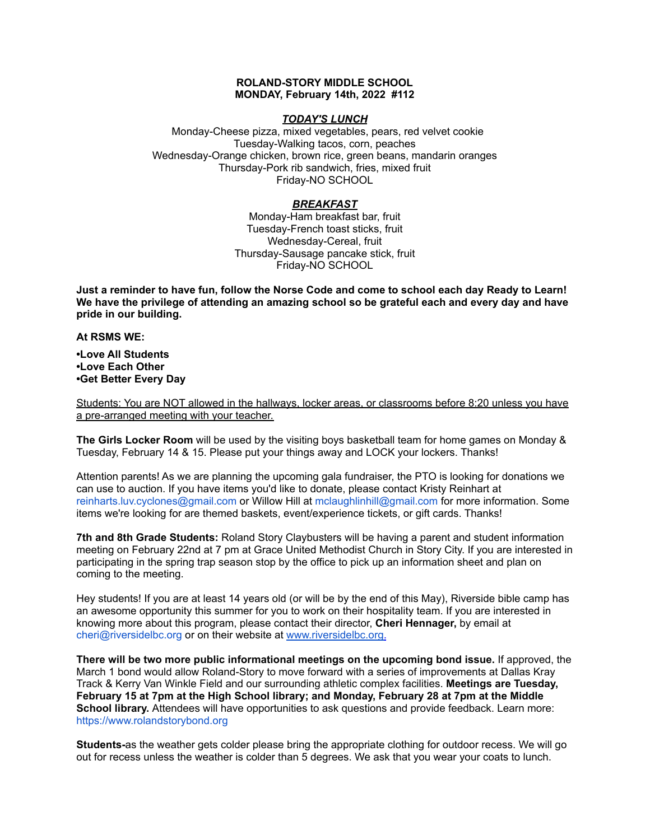## **ROLAND-STORY MIDDLE SCHOOL MONDAY, February 14th, 2022 #112**

## *TODAY'S LUNCH*

Monday-Cheese pizza, mixed vegetables, pears, red velvet cookie Tuesday-Walking tacos, corn, peaches Wednesday-Orange chicken, brown rice, green beans, mandarin oranges Thursday-Pork rib sandwich, fries, mixed fruit Friday-NO SCHOOL

# *BREAKFAST*

Monday-Ham breakfast bar, fruit Tuesday-French toast sticks, fruit Wednesday-Cereal, fruit Thursday-Sausage pancake stick, fruit Friday-NO SCHOOL

Just a reminder to have fun, follow the Norse Code and come to school each day Ready to Learn! **We have the privilege of attending an amazing school so be grateful each and every day and have pride in our building.**

#### **At RSMS WE:**

**•Love All Students •Love Each Other •Get Better Every Day**

Students: You are NOT allowed in the hallways, locker areas, or classrooms before 8:20 unless you have a pre-arranged meeting with your teacher.

**The Girls Locker Room** will be used by the visiting boys basketball team for home games on Monday & Tuesday, February 14 & 15. Please put your things away and LOCK your lockers. Thanks!

Attention parents! As we are planning the upcoming gala fundraiser, the PTO is looking for donations we can use to auction. If you have items you'd like to donate, please contact Kristy Reinhart at reinharts.luv.cyclones@gmail.com or Willow Hill at mclaughlinhill@gmail.com for more information. Some items we're looking for are themed baskets, event/experience tickets, or gift cards. Thanks!

**7th and 8th Grade Students:** Roland Story Claybusters will be having a parent and student information meeting on February 22nd at 7 pm at Grace United Methodist Church in Story City. If you are interested in participating in the spring trap season stop by the office to pick up an information sheet and plan on coming to the meeting.

Hey students! If you are at least 14 years old (or will be by the end of this May), Riverside bible camp has an awesome opportunity this summer for you to work on their hospitality team. If you are interested in knowing more about this program, please contact their director, **Cheri Hennager,** by email at cheri@riversidelbc.org or on their website at [www.riversidelbc.org.](http://www.riversidelbc.org/)

**There will be two more public informational meetings on the upcoming bond issue.** If approved, the March 1 bond would allow Roland-Story to move forward with a series of improvements at Dallas Kray Track & Kerry Van Winkle Field and our surrounding athletic complex facilities. **Meetings are Tuesday, February 15 at 7pm at the High School library; and Monday, February 28 at 7pm at the Middle School library.** Attendees will have opportunities to ask questions and provide feedback. Learn more[:](https://www.rolandstorybond.org/?fbclid=IwAR3AJHhy8S8KvQsof-Z44UTrIBXDkOZFSdMyUXMovrg0bH3FkvkTprNkFuM) [https://www.rolandstorybond.org](https://www.rolandstorybond.org/?fbclid=IwAR3AJHhy8S8KvQsof-Z44UTrIBXDkOZFSdMyUXMovrg0bH3FkvkTprNkFuM)

**Students-**as the weather gets colder please bring the appropriate clothing for outdoor recess. We will go out for recess unless the weather is colder than 5 degrees. We ask that you wear your coats to lunch.